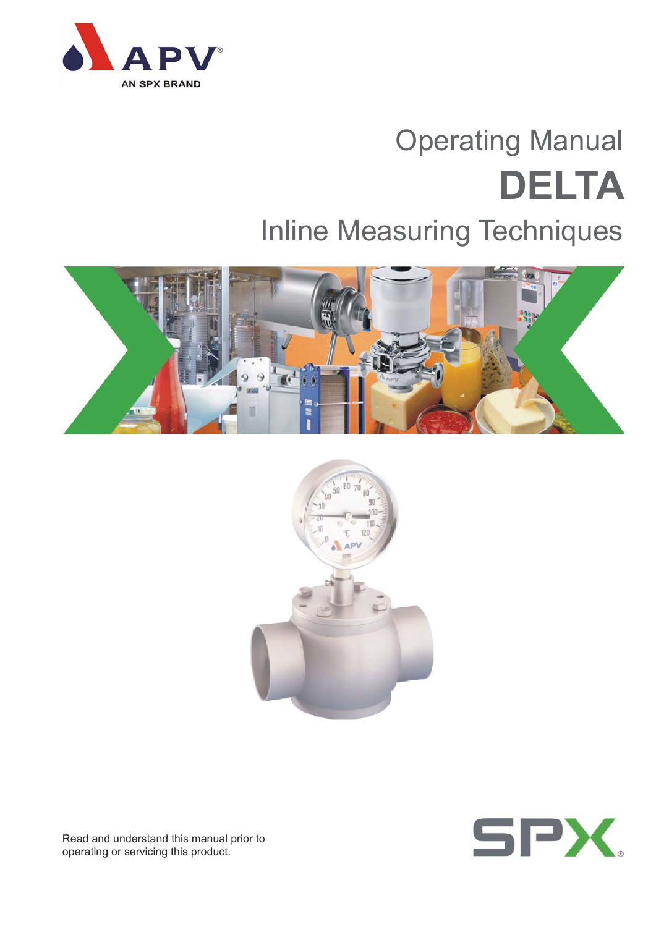

## Operating Manual **DELTA**

### Inline Measuring Techniques







Read and understand this manual prior to operating or servicing this product.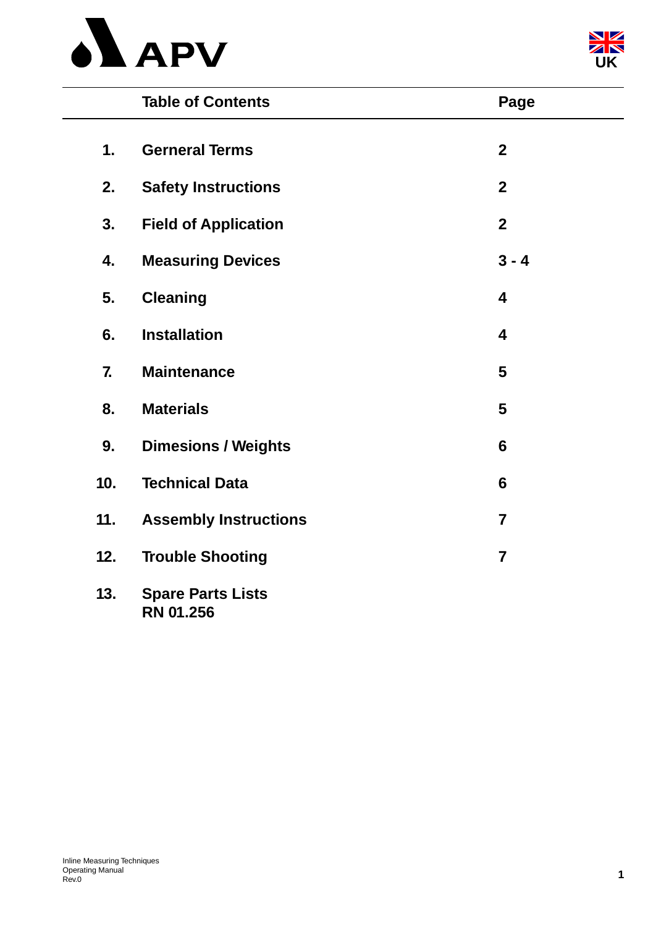



|     | <b>Table of Contents</b>                     | Page                    |
|-----|----------------------------------------------|-------------------------|
| 1.  | <b>Gerneral Terms</b>                        | $\mathbf{2}$            |
| 2.  | <b>Safety Instructions</b>                   | $\boldsymbol{2}$        |
| 3.  | <b>Field of Application</b>                  | $\overline{2}$          |
| 4.  | <b>Measuring Devices</b>                     | $3 - 4$                 |
| 5.  | <b>Cleaning</b>                              | 4                       |
| 6.  | <b>Installation</b>                          | $\overline{\mathbf{4}}$ |
| 7.  | <b>Maintenance</b>                           | 5                       |
| 8.  | <b>Materials</b>                             | 5                       |
| 9.  | <b>Dimesions / Weights</b>                   | $6\phantom{1}$          |
| 10. | <b>Technical Data</b>                        | 6                       |
| 11. | <b>Assembly Instructions</b>                 | $\overline{7}$          |
| 12. | <b>Trouble Shooting</b>                      | $\overline{7}$          |
| 13. | <b>Spare Parts Lists</b><br><b>RN 01.256</b> |                         |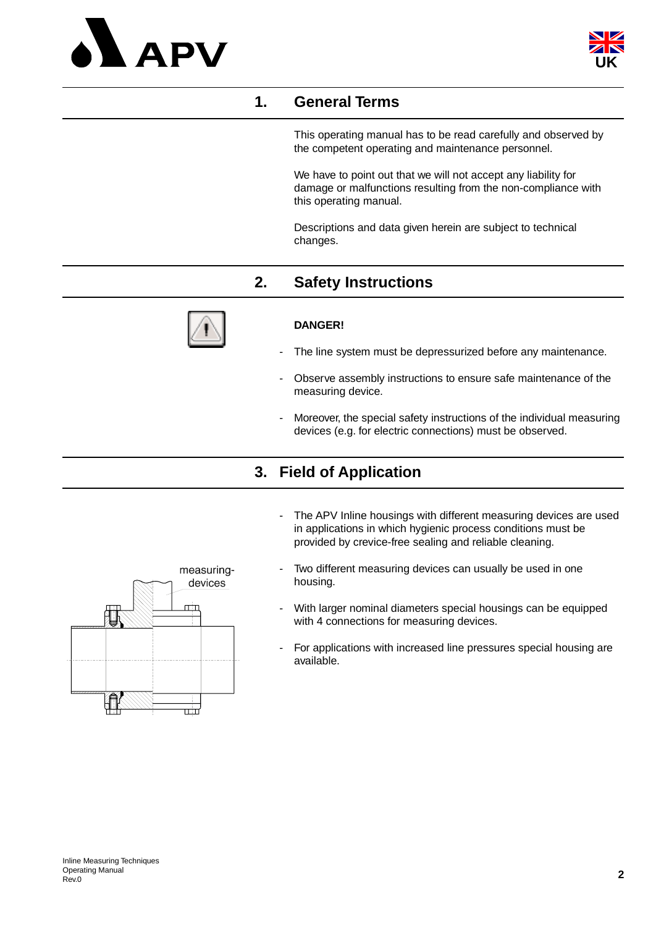



#### **1. General Terms**

This operating manual has to be read carefully and observed by the competent operating and maintenance personnel.

We have to point out that we will not accept any liability for damage or malfunctions resulting from the non-compliance with this operating manual.

Descriptions and data given herein are subject to technical changes.

#### **2. Safety Instructions**



#### **DANGER!**

- The line system must be depressurized before any maintenance.
- Observe assembly instructions to ensure safe maintenance of the measuring device.
- Moreover, the special safety instructions of the individual measuring devices (e.g. for electric connections) must be observed.

#### **3. Field of Application**

- The APV Inline housings with different measuring devices are used in applications in which hygienic process conditions must be provided by crevice-free sealing and reliable cleaning.
- Two different measuring devices can usually be used in one housing.
- With larger nominal diameters special housings can be equipped with 4 connections for measuring devices.
- For applications with increased line pressures special housing are available.

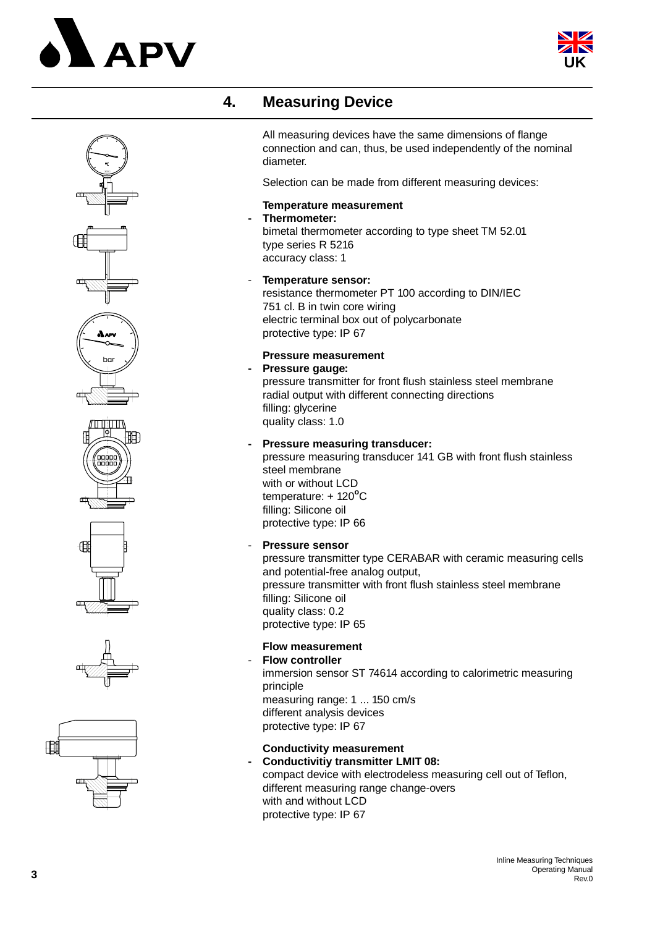# **APV**





#### **4. Measuring Device**

All measuring devices have the same dimensions of flange connection and can, thus, be used independently of the nominal diameter.

Selection can be made from different measuring devices:

#### **Temperature measurement**

**- Thermometer:** bimetal thermometer according to type sheet TM 52.01 type series R 5216 accuracy class: 1

#### - **Temperature sensor:** resistance thermometer PT 100 according to DIN/IEC 751 cl. B in twin core wiring electric terminal box out of polycarbonate protective type: IP 67

#### **Pressure measurement**

**- Pressure gauge:** pressure transmitter for front flush stainless steel membrane radial output with different connecting directions filling: glycerine quality class: 1.0

**- Pressure measuring transducer:** pressure measuring transducer 141 GB with front flush stainless steel membrane

with or without LCD temperature: + 120<sup>°</sup>C filling: Silicone oil protective type: IP 66

- **Pressure sensor**

pressure transmitter type CERABAR with ceramic measuring cells and potential-free analog output, pressure transmitter with front flush stainless steel membrane filling: Silicone oil quality class: 0.2 protective type: IP 65

#### **Flow measurement**

- **Flow controller** immersion sensor ST 74614 according to calorimetric measuring principle measuring range: 1 ... 150 cm/s different analysis devices protective type: IP 67

#### **Conductivity measurement**

**- Conductivitiy transmitter LMIT 08:** compact device with electrodeless measuring cell out of Teflon, different measuring range change-overs with and without LCD protective type: IP 67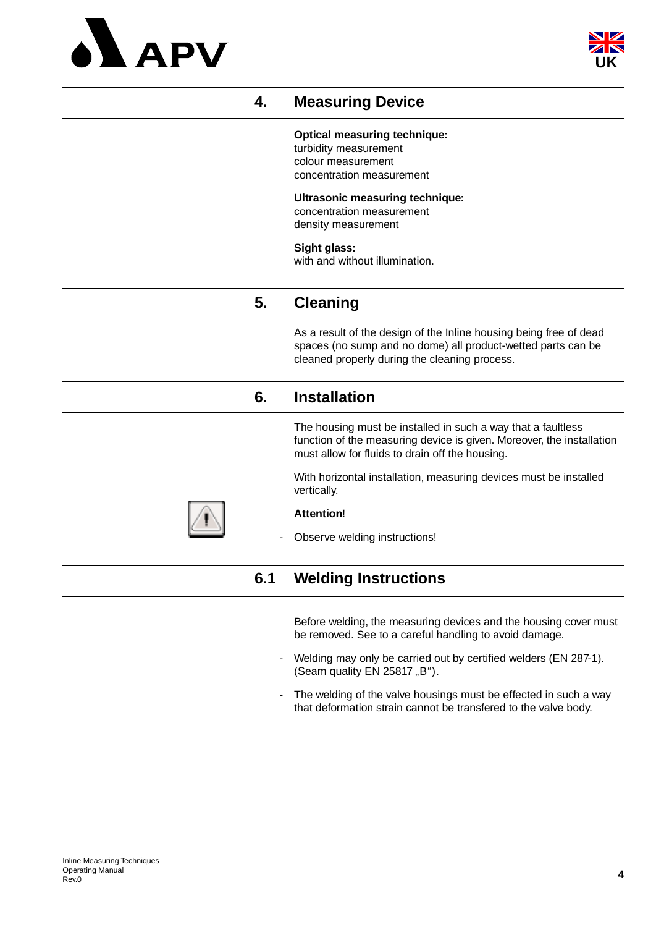



#### **4. Measuring Device**

#### **Optical measuring technique:**

turbidity measurement colour measurement concentration measurement

#### **Ultrasonic measuring technique:**

concentration measurement density measurement

#### **Sight glass:**

with and without illumination.

#### **5. Cleaning**

As a result of the design of the Inline housing being free of dead spaces (no sump and no dome) all product-wetted parts can be cleaned properly during the cleaning process.

#### **6. Installation**

The housing must be installed in such a way that a faultless function of the measuring device is given. Moreover, the installation must allow for fluids to drain off the housing.

With horizontal installation, measuring devices must be installed vertically.



#### **Attention!**

Observe welding instructions!

#### **6.1 Welding Instructions**

Before welding, the measuring devices and the housing cover must be removed. See to a careful handling to avoid damage.

- Welding may only be carried out by certified welders (EN 287-1). (Seam quality EN 25817,  $B$ ").
- The welding of the valve housings must be effected in such a way that deformation strain cannot be transfered to the valve body.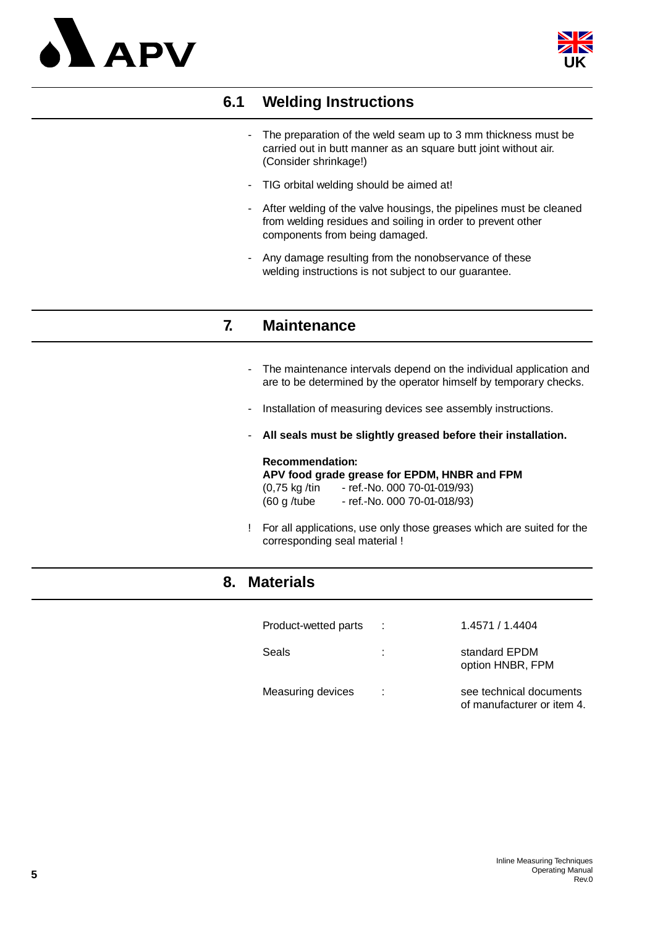



#### **6.1 Welding Instructions**

- The preparation of the weld seam up to 3 mm thickness must be carried out in butt manner as an square butt joint without air. (Consider shrinkage!)
- TIG orbital welding should be aimed at!
- After welding of the valve housings, the pipelines must be cleaned from welding residues and soiling in order to prevent other components from being damaged.
- Any damage resulting from the nonobservance of these welding instructions is not subject to our guarantee.

#### **7. Maintenance**

- The maintenance intervals depend on the individual application and are to be determined by the operator himself by temporary checks.
- Installation of measuring devices see assembly instructions.
- **All seals must be slightly greased before their installation.**

#### **Recommendation:**

**APV food grade grease for EPDM, HNBR and FPM** (0,75 kg /tin - ref.-No. 000 70-01-019/93)

- (60 g /tube ref.-No. 000 70-01-018/93)
- ! For all applications, use only those greases which are suited for the corresponding seal material !

#### **8. Materials**

| Product-wetted parts | $\ddot{\phantom{a}}$ | 1.4571 / 1.4404                                       |
|----------------------|----------------------|-------------------------------------------------------|
| Seals                |                      | standard EPDM<br>option HNBR, FPM                     |
| Measuring devices    | ÷.                   | see technical documents<br>of manufacturer or item 4. |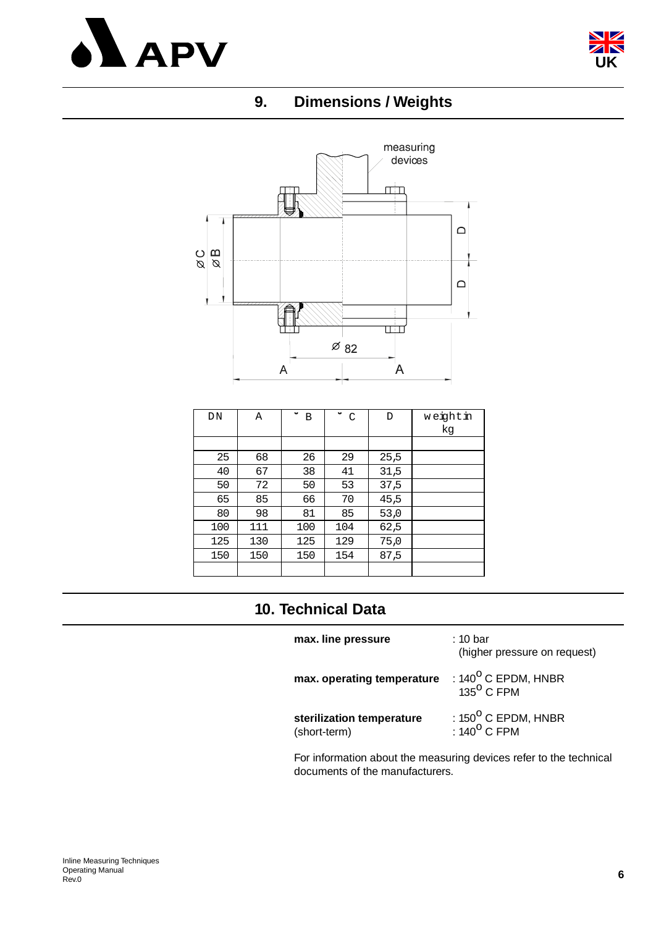



#### **9. Dimensions / Weights**



| DN  | Α   | $\checkmark$<br>B | ٠<br>$\mathcal{C}$ | D    | weightin<br>kg |
|-----|-----|-------------------|--------------------|------|----------------|
|     |     |                   |                    |      |                |
| 25  | 68  | 26                | 29                 | 25,5 |                |
| 40  | 67  | 38                | 41                 | 31,5 |                |
| 50  | 72  | 50                | 53                 | 37,5 |                |
| 65  | 85  | 66                | 70                 | 45,5 |                |
| 80  | 98  | 81                | 85                 | 53,0 |                |
| 100 | 111 | 100               | 104                | 62,5 |                |
| 125 | 130 | 125               | 129                | 75,0 |                |
| 150 | 150 | 150               | 154                | 87,5 |                |
|     |     |                   |                    |      |                |

#### **10. Technical Data**

| max. line pressure                        | : 10 bar<br>(higher pressure on request)               |
|-------------------------------------------|--------------------------------------------------------|
| max. operating temperature                | : $140^{\circ}$ C EPDM, HNBR<br>135 <sup>0</sup> C FPM |
| sterilization temperature<br>(short-term) | : $150^{\circ}$ C EPDM, HNBR<br>: $140^{\circ}$ C FPM  |

For information about the measuring devices refer to the technical documents of the manufacturers.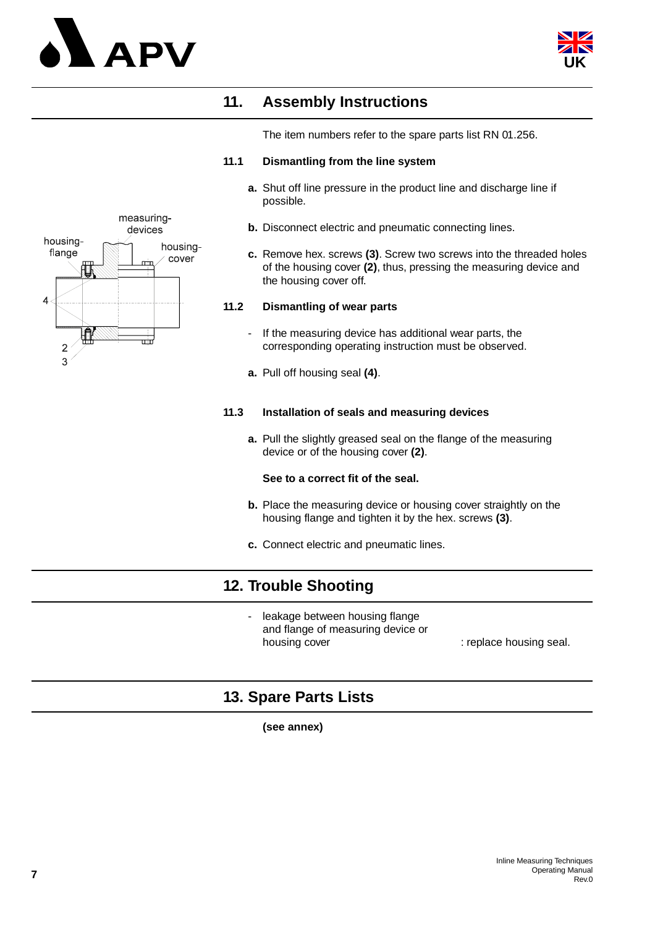



#### **11. Assembly Instructions**

The item numbers refer to the spare parts list RN 01.256.

#### **11.1 Dismantling from the line system**

- **a.** Shut off line pressure in the product line and discharge line if possible.
- **b.** Disconnect electric and pneumatic connecting lines.
- **c.** Remove hex. screws **(3)**. Screw two screws into the threaded holes of the housing cover **(2)**, thus, pressing the measuring device and the housing cover off.

#### **11.2 Dismantling of wear parts**

- If the measuring device has additional wear parts, the corresponding operating instruction must be observed.
- **a.** Pull off housing seal **(4)**.

#### **11.3 Installation of seals and measuring devices**

**a.** Pull the slightly greased seal on the flange of the measuring device or of the housing cover **(2)**.

#### **See to a correct fit of the seal.**

- **b.** Place the measuring device or housing cover straightly on the housing flange and tighten it by the hex. screws **(3)**.
- **c.** Connect electric and pneumatic lines.

#### **12. Trouble Shooting**

leakage between housing flange and flange of measuring device or housing cover **in the cover** : replace housing seal.

#### **13. Spare Parts Lists**

**(see annex)** 

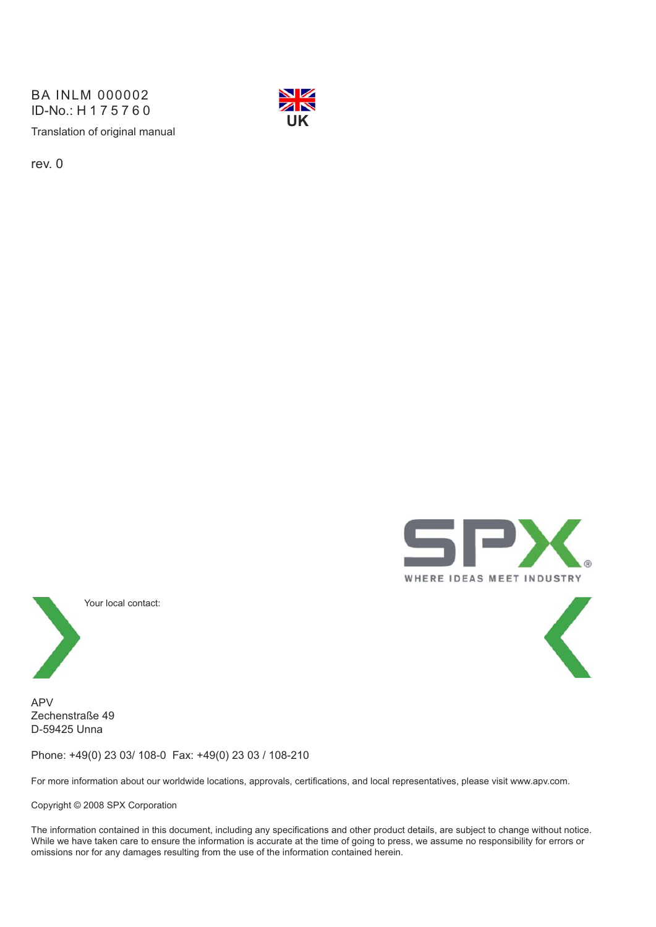Translation of original manual BA INLM 000002 ID-No.: H175760



rev. 0





APV Zechenstraße 49 D-59425 Unna

Phone: +49(0) 23 03/ 108-0 Fax: +49(0) 23 03 / 108-210

For more information about our worldwide locations, approvals, certifications, and local representatives, please visit www.apv.com.

Copyright © 2008 SPX Corporation

The information contained in this document, including any specifications and other product details, are subject to change without notice. While we have taken care to ensure the information is accurate at the time of going to press, we assume no responsibility for errors or omissions nor for any damages resulting from the use of the information contained herein.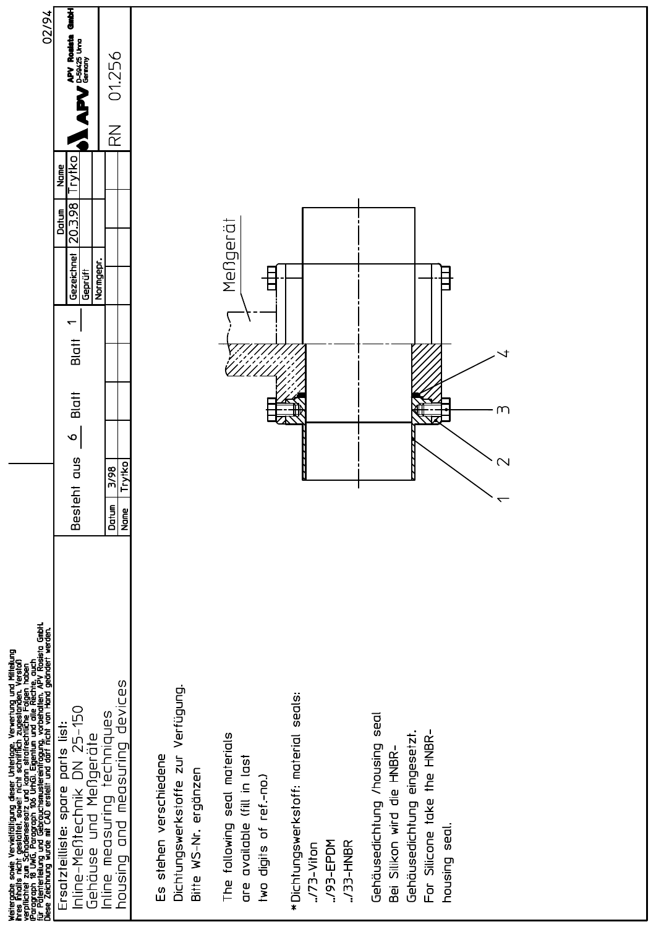| Weitergabe sowie Vervielfältigung dieser Unterlage, Verwertung und Mitteilung<br>ihres Finalts nicht gestattet, soweit nicht schrifflich zugestanden. Verstoß<br>verpflichtet zum Schadensersatz und kann strafrechtliche Folgen hab | 02/94                                                                                                                                                                                       |
|--------------------------------------------------------------------------------------------------------------------------------------------------------------------------------------------------------------------------------------|---------------------------------------------------------------------------------------------------------------------------------------------------------------------------------------------|
| Inline-Mentechnik DN 25-150<br>parts list:<br>Gehäuse und Meßgeräte<br>Ersatzteilliste: spare                                                                                                                                        | をし<br><b>APV Rockto</b><br>Burges University<br>Trytko<br>Name<br>20.3.98<br>Datun<br>Gezeichnet<br>Geprüff<br>$\overline{\phantom{0}}$<br>Blatt<br><b>Blatt</b><br>$\infty$<br>Besteht aus |
| devices<br>Inline measuring techniques<br>and measuring<br>Duisnor                                                                                                                                                                   | 01.256<br>$\overline{\widetilde{\mathcal{K}}}$<br>Normgepr.<br>Trytko<br>$\frac{3}{98}$<br>Datum<br><b>Name</b>                                                                             |
| Dichtungswerkstoffe zur Verfügung.<br>Es stehen verschiedene<br>Bitte WS-Nr. ergänzen                                                                                                                                                |                                                                                                                                                                                             |
| The following seal materials<br>available (fill in last<br>two digits of ref.-no.)<br>a<br>D                                                                                                                                         | Mengerät                                                                                                                                                                                    |
| seals:<br>* Dichtungswerkstoff: material<br>/93-EPDM<br>./33-HNBR<br>$.73-V$ iton                                                                                                                                                    |                                                                                                                                                                                             |
| seal<br>Gehäusedichtung eingesetzt.<br>For Silicone take the HNBR-<br>Gehäusedichtung /housing<br>Bei Silkon wird die HNBR-<br>housing seal.                                                                                         | $\cup$<br>$\mathbf{\Omega}$                                                                                                                                                                 |
|                                                                                                                                                                                                                                      |                                                                                                                                                                                             |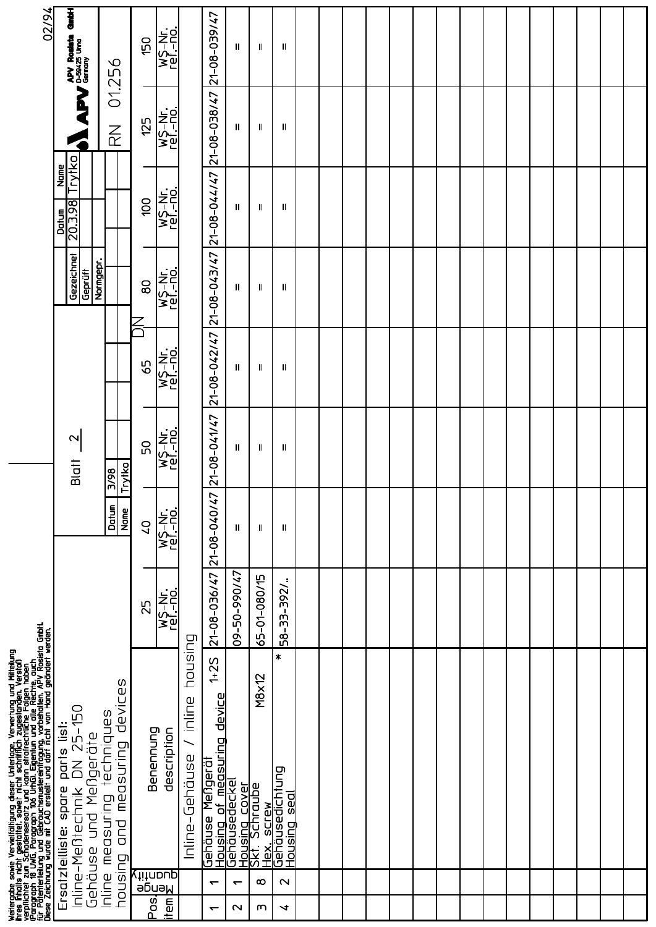| 02/94                                                                                                                                                                                                                                | J<br>APY Roaten                                                                                  | 01.256                                                                | 150           | WS-Nr.<br>ref.-no.                        |                                     |                                                                      | Ш                                             | Ш                                                                                                                     | Ш                                           |  |  |  |  |  |  |  |  |
|--------------------------------------------------------------------------------------------------------------------------------------------------------------------------------------------------------------------------------------|--------------------------------------------------------------------------------------------------|-----------------------------------------------------------------------|---------------|-------------------------------------------|-------------------------------------|----------------------------------------------------------------------|-----------------------------------------------|-----------------------------------------------------------------------------------------------------------------------|---------------------------------------------|--|--|--|--|--|--|--|--|
|                                                                                                                                                                                                                                      | A                                                                                                | $\overline{\mathbb{R}}$                                               | 125           | WS-Nr.<br>ref.-no.                        |                                     | 21-08-038/47 21-08-039/47                                            | $\mathbf l$                                   | Ш                                                                                                                     | Ш                                           |  |  |  |  |  |  |  |  |
|                                                                                                                                                                                                                                      | Trytko<br>Name<br>20.3.98<br>Datum                                                               |                                                                       | 00            | $\overline{\mathsf{W}}$ S-Nr.<br>ref.-no. |                                     | 21-08-044/47                                                         | $\mathbf{I}$                                  | Ш                                                                                                                     | Ш                                           |  |  |  |  |  |  |  |  |
|                                                                                                                                                                                                                                      | Gezeichnet<br>Geprüft                                                                            | Normgepr.                                                             | $\infty$      | $\overline{W_2^2-M_1}$ .<br>ref - no.     |                                     | 21-08-043/47                                                         | Ш                                             | Ш                                                                                                                     | Ш                                           |  |  |  |  |  |  |  |  |
|                                                                                                                                                                                                                                      |                                                                                                  |                                                                       | 59            | WS-Nr.<br>ref.-no.                        |                                     | 21-08-042/47                                                         | Ш                                             | Ш                                                                                                                     | Ш                                           |  |  |  |  |  |  |  |  |
|                                                                                                                                                                                                                                      | $\mathbf 2$<br>Blatt                                                                             | Trytko<br>$\frac{86}{2}$                                              | SO            | wS-Nr.<br>ref.-no.                        |                                     | 21-08-041/47                                                         | Ш                                             | Ш                                                                                                                     | Ш                                           |  |  |  |  |  |  |  |  |
|                                                                                                                                                                                                                                      |                                                                                                  | Datun<br>Name                                                         | $\frac{1}{2}$ | <b>WS-Nr.</b><br>ref.- <u>no.</u>         |                                     | 21-08-040/47                                                         | $\mathbf{I}$                                  | 11                                                                                                                    | Ш                                           |  |  |  |  |  |  |  |  |
|                                                                                                                                                                                                                                      |                                                                                                  |                                                                       | 25            | WS-Nr.<br>ref.-no.                        |                                     | 21-08-036/47                                                         | 09-50-990/47                                  | 65-01-080/15                                                                                                          | $\ddot{\cdot}$<br>58-33-392/                |  |  |  |  |  |  |  |  |
| Weitergabe sowie Vervielfältigung dieser Unterlage, Verwertung und Mittellung<br>ihres Finalts nicht gestaltet, soweit nicht schrifflich zugestanden. Verstoß<br>verpflichtet zum Schadensersatz und Kann strafrechtliche Folgen hab | DN 25-150<br>parts list:<br>Gehäuse und Meßgeräte<br>Inline-Mentechnik<br>Ersatzteilliste: spare | devices<br>Inline measuring techniques<br>measuring<br>$\overline{a}$ | Benennung     | description                               | housing<br>inline<br>Inline-Gehäuse | $1 + 25$<br><u>Housing of measuring device</u><br>Mengerä<br>Gehäuse | Gehäusedeckel                                 | M8x12<br><u>Housing cover</u><br>Skt. Schraube<br><b>SCTEM</b><br>$\overline{\widetilde{\boxtimes}}$ .<br><b>Next</b> | ∗<br>Gehäusedichtung<br><u>Housing seal</u> |  |  |  |  |  |  |  |  |
|                                                                                                                                                                                                                                      |                                                                                                  | prusing                                                               | Posl          | Nengle<br>K <sup>iit</sup> noup<br>litem  |                                     | $\overline{\phantom{0}}$<br>$\overline{\phantom{0}}$                 | $\overline{\phantom{0}}$<br>$\mathbf{\Omega}$ | $\infty$<br>m                                                                                                         | $\mathbf{\Omega}$<br>↘                      |  |  |  |  |  |  |  |  |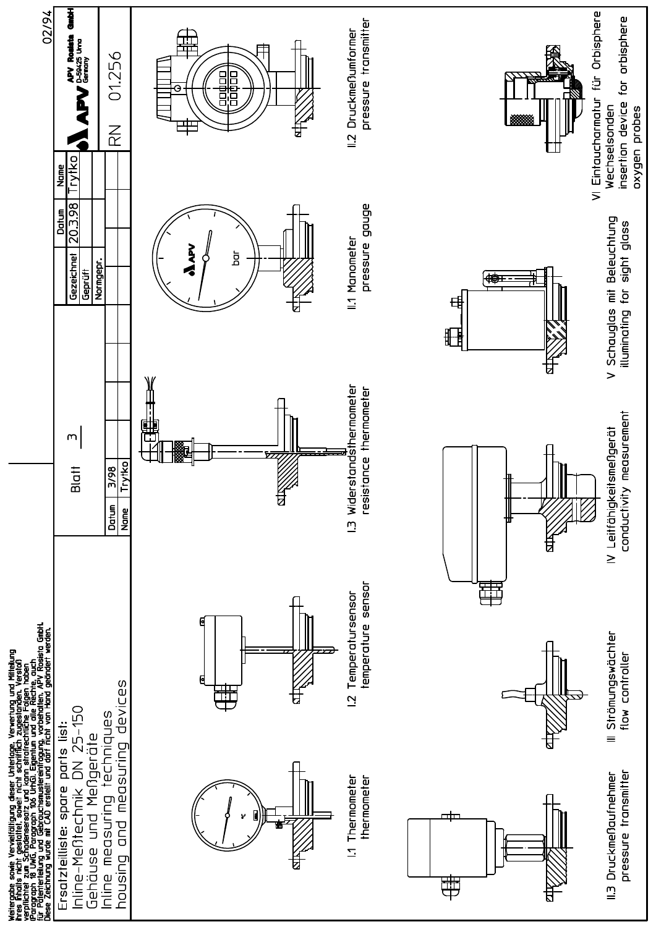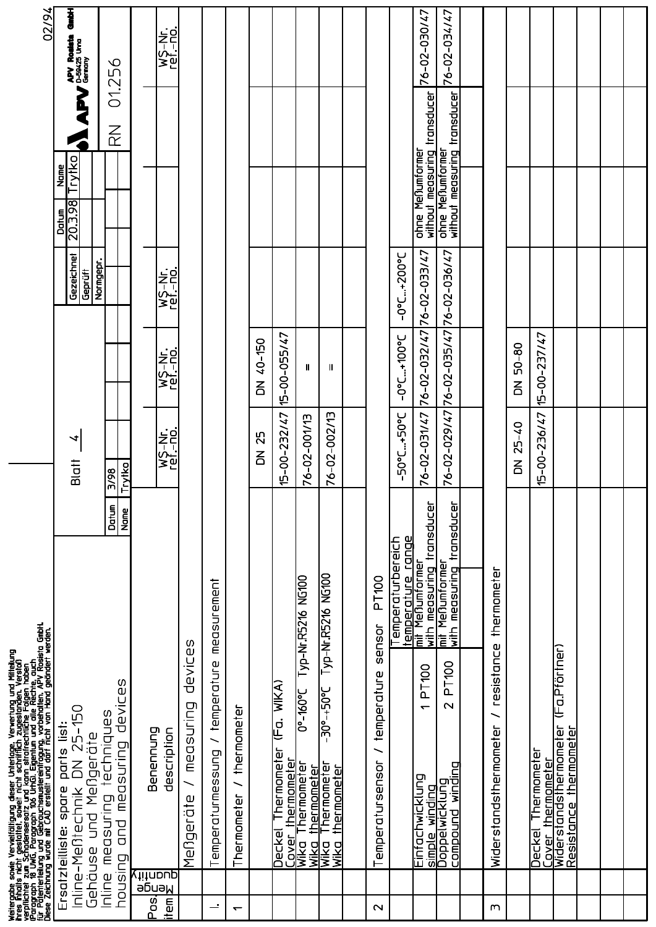| 02/94                                                                                                                                                                                                                                | the controller and controller and controller and controller and controller and controller and controller and c<br>The controller and controller and controller and controller and controller and controller and controller and c<br> |                                      | WS-Nr.<br>121-10.<br>121-10.                             |                                       |                                 |                          |                          |                            |                            |                                   |                  |                                        | 76-02-030/47                                         | 76-02-034/47                                     |                        |                             |                    |                                                            |  |  |
|--------------------------------------------------------------------------------------------------------------------------------------------------------------------------------------------------------------------------------------|--------------------------------------------------------------------------------------------------------------------------------------------------------------------------------------------------------------------------------------|--------------------------------------|----------------------------------------------------------|---------------------------------------|---------------------------------|--------------------------|--------------------------|----------------------------|----------------------------|-----------------------------------|------------------|----------------------------------------|------------------------------------------------------|--------------------------------------------------|------------------------|-----------------------------|--------------------|------------------------------------------------------------|--|--|
|                                                                                                                                                                                                                                      | APV Resident                                                                                                                                                                                                                         | 01.256<br>$\overline{\widetilde{R}}$ |                                                          |                                       |                                 |                          |                          |                            |                            |                                   |                  |                                        |                                                      |                                                  |                        |                             |                    |                                                            |  |  |
|                                                                                                                                                                                                                                      | Trytko<br>Name<br>20.3.98<br>Datun<br>D                                                                                                                                                                                              |                                      |                                                          |                                       |                                 |                          |                          |                            |                            |                                   |                  |                                        | without measuring transducer<br>ohne Meßumformer     | without measuring transducer<br>ohne Meßumformer |                        |                             |                    |                                                            |  |  |
|                                                                                                                                                                                                                                      | Gezeichnet<br>Normgepr.<br>Geprüft                                                                                                                                                                                                   |                                      | WS-Nr.<br>ref - no.                                      |                                       |                                 |                          |                          |                            |                            |                                   |                  | $-0.024100-$                           | 76-02-033/47                                         | 76-02-036/47                                     |                        |                             |                    |                                                            |  |  |
|                                                                                                                                                                                                                                      |                                                                                                                                                                                                                                      |                                      | wS-Nr.<br>121-10.<br>121-10.                             |                                       |                                 |                          | 40-150<br>$\overline{5}$ | 15-00-055/47               | $\mathbf l$                | H                                 |                  | $-0.01 + 100$                          | 76-02-032/47                                         | 76-02-035/47                                     |                        | $50 - 80$<br>$\overline{5}$ | 15-00-237/47       |                                                            |  |  |
|                                                                                                                                                                                                                                      | ч<br>Blatt                                                                                                                                                                                                                           | <b>Trytko</b><br>3/98                | WS-Nr.<br>ref.-no.                                       |                                       |                                 |                          | 25<br>$\overline{5}$     | 15-00-232/47               | 76-02-001/13               | 76-02-002/13                      |                  | -50°C+50°C                             | 76-02-031/47                                         | 76-02-029/47                                     |                        | $25 - 40$<br>$\overline{5}$ | $15 - 00 - 236/47$ |                                                            |  |  |
|                                                                                                                                                                                                                                      |                                                                                                                                                                                                                                      | Datum<br><b>Name</b>                 |                                                          |                                       |                                 |                          |                          |                            |                            |                                   |                  |                                        |                                                      |                                                  |                        |                             |                    |                                                            |  |  |
|                                                                                                                                                                                                                                      |                                                                                                                                                                                                                                      |                                      |                                                          |                                       | measurement                     |                          |                          |                            | Typ-Nr.R5216 NG100         | Typ-Nr.R5216 NG100                | PT100<br>sensor  | temperature range<br>Temperaturbereich | with meas <u>uring transducer</u><br>mit Meßumformer | with measuring transducer<br>mit Menumformer     | thermometer            |                             |                    |                                                            |  |  |
| Weitergabe sowie Vervielfältigung dieser Unterlage, Verwertung und Mitteilung<br>ihres Finalts nicht gestattet, soweit nicht schrifflich zugestanden. Verstoß<br>verpflichtet zum Schadensersatz und kann strafrechtliche Falgen hab |                                                                                                                                                                                                                                      | devices                              |                                                          | devices                               |                                 |                          |                          | WIKA)<br>(Fa.              | $0^{\circ}$ -160°C         | $-30e^{-+}50e^{-}$                | temperature      |                                        | <b>PT100</b><br>$\overline{\phantom{0}}$             | <b>PT100</b><br>$\mathbf{\sim}$                  | resistance<br>╮        |                             |                    | (Fa.Pförtner)                                              |  |  |
|                                                                                                                                                                                                                                      | DN 25-150<br>parts list:<br>Gehäuse und Meßgeräte                                                                                                                                                                                    | techniques<br>measuring              | Benennung<br>description                                 | measuring<br>$\overline{\phantom{0}}$ | Temperaturmessung / temperature | / thermometer            |                          | Thermometer<br>thermometer | Thermometer<br>thermometer | Thermometer<br><u>thermometer</u> |                  |                                        |                                                      | winding                                          | Widerstandsthermometer |                             | <b>Thermometer</b> | Cover thermometer<br>Widerstandsthermometer<br>thermometer |  |  |
|                                                                                                                                                                                                                                      | Inline-Meßtechnik<br>Ersatzteilliste: spare                                                                                                                                                                                          | Inline measuring<br>and              |                                                          | Mengeräte                             |                                 | Thermometer              |                          | Deckel<br>Cover            | WIKO<br><b>Wika</b>        | Wika<br><u>Wika</u>               | Temperatursensor |                                        | Einfachwicklung                                      | simple winding<br>Doppelwicklung<br>compound     |                        |                             | Deckel             | Resistance                                                 |  |  |
|                                                                                                                                                                                                                                      |                                                                                                                                                                                                                                      | pousing                              | aphantiy<br>Yithoup<br>litem <sup>+</sup><br><u>Posi</u> |                                       | $\div$                          | $\overline{\phantom{0}}$ |                          |                            |                            |                                   | $\mathbf 2$      |                                        |                                                      |                                                  | m                      |                             |                    |                                                            |  |  |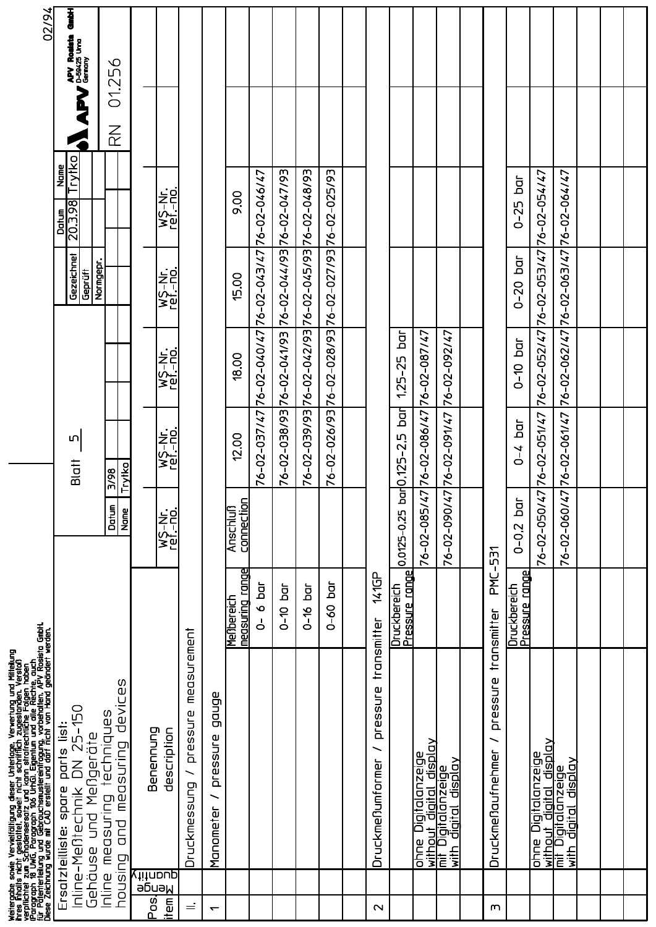|                          | Weitergabe sowie Vervielfältigung dieser Unterlage, Verwertung und Mittellung<br>ihres finlatis nicht gestattet, soweit nicht schrifflich zugestanden. Verstoß<br>verpflichtet zum Schadensersatz und kann strafrechtliche Folgen ha |                                  |                               |                           |                              |                                                     |                                    |                         | 02/94                                 |
|--------------------------|--------------------------------------------------------------------------------------------------------------------------------------------------------------------------------------------------------------------------------------|----------------------------------|-------------------------------|---------------------------|------------------------------|-----------------------------------------------------|------------------------------------|-------------------------|---------------------------------------|
|                          | Inline-Mentechnik DN 25-150<br>parts list:<br>Gehäuse und Meßgeräte<br>Ersatzteilliste: spare                                                                                                                                        |                                  |                               | LN<br>Blatt               |                              | Gezeichnet<br>Normgepr.<br>Geprüft                  | Trytko<br>Name<br>20.3.98<br>Datum |                         | 看島<br>APV Roateta<br>APV D-59425 Urna |
|                          | devices<br>Inline measuring techniques<br>measuring<br>and<br>housing                                                                                                                                                                |                                  | Datun<br>Name                 | Trytko<br>3/98            |                              |                                                     |                                    | $\overline{\mathbb{R}}$ | 01.256                                |
| Posl<br>item             | Benennung<br>description<br><u>duantity</u><br>э̀ Биан                                                                                                                                                                               |                                  | WS-Nr.<br>ref.-no.            | wS-Nr.<br>ref.-no.        | WS-Nr.<br>ref.-no.           | WS-Nr.<br>ref.-no.                                  | WS-Nr.<br>ref.-no.                 |                         |                                       |
| $\equiv$                 | pressure<br>Druckmessung                                                                                                                                                                                                             | measurement                      |                               |                           |                              |                                                     |                                    |                         |                                       |
| $\overline{\phantom{0}}$ | gonge<br>pressure<br>Manometer                                                                                                                                                                                                       |                                  |                               |                           |                              |                                                     |                                    |                         |                                       |
|                          |                                                                                                                                                                                                                                      | measuring range<br>Menbereich    | connection<br><b>Anschluß</b> | 12.00                     | 18.00                        | 15.00                                               | 9.00                               |                         |                                       |
|                          |                                                                                                                                                                                                                                      | $\overline{a}$<br>$\bullet$<br>႕ |                               | 76-02-037/47              | 76-02-040/47 76-02-043/47    |                                                     | 76-02-046/47                       |                         |                                       |
|                          |                                                                                                                                                                                                                                      | Ъđ<br>$0 - 10$                   |                               | 76-02-038/93 76-02-041/93 |                              | 76-02-044/93 76-02-047/93                           |                                    |                         |                                       |
|                          |                                                                                                                                                                                                                                      | đ<br>$0 - 16$                    |                               |                           |                              | 76-02-039/93 76-02-042/93 76-02-045/93 76-02-048/93 |                                    |                         |                                       |
|                          |                                                                                                                                                                                                                                      | Б.<br>$0 - 60$                   |                               |                           |                              | 76-02-026/93 76-02-028/93 76-02-027/93 76-02-025/93 |                                    |                         |                                       |
|                          |                                                                                                                                                                                                                                      |                                  |                               |                           |                              |                                                     |                                    |                         |                                       |
| $\mathbf{\sim}$          | pressure<br>DruckmeNumformer                                                                                                                                                                                                         | 141GP<br>transmitter             |                               |                           |                              |                                                     |                                    |                         |                                       |
|                          |                                                                                                                                                                                                                                      | Pressure range<br>Druckbereich   | 0,0125-0,25                   | bar0,125-2,5 bar          | $\frac{1}{9}$<br>$1,25 - 25$ |                                                     |                                    |                         |                                       |
|                          | ohne Digitalanzeige<br>without digital display<br>mit Digitalanzeige                                                                                                                                                                 |                                  | $\overline{47}$<br>76-02-085/ | 76-02-086/47              | 76-02-087/47                 |                                                     |                                    |                         |                                       |
|                          | <u>diaital display</u><br>with                                                                                                                                                                                                       |                                  | $\overline{47}$<br>76-02-090/ | 76-02-091/47              | 76-02-092/47                 |                                                     |                                    |                         |                                       |
|                          |                                                                                                                                                                                                                                      |                                  |                               |                           |                              |                                                     |                                    |                         |                                       |
| m                        | pressure<br>╮<br>Druckmeßaufnehmer                                                                                                                                                                                                   | PM-<br>transmitter               | $-531$                        |                           |                              |                                                     |                                    |                         |                                       |
|                          |                                                                                                                                                                                                                                      | Pressure range<br>Druckbereich   | ā<br>$0 - 0.2$                | $\overline{a}$<br>$0 - 4$ | $\overline{a}$<br>$0 - 10$   | $\overline{a}$<br>$0 - 20$                          | $\overline{a}$<br>$0 - 25$         |                         |                                       |
|                          | ohne Digitalanzeige<br>without digital display                                                                                                                                                                                       |                                  | $\overline{5}$<br>76-02-050/  | 76-02-051/47              |                              | 76-02-052/47 76-02-053/47 76-02-054/47              |                                    |                         |                                       |
|                          | <u> Apiasip</u><br>without digital disp<br>mit Digitalanzeige<br>with digital display                                                                                                                                                |                                  | 76-02-060/47                  | 76-02-061/47              |                              | 76-02-062/47 76-02-063/47 76-02-064/47              |                                    |                         |                                       |
|                          |                                                                                                                                                                                                                                      |                                  |                               |                           |                              |                                                     |                                    |                         |                                       |
|                          |                                                                                                                                                                                                                                      |                                  |                               |                           |                              |                                                     |                                    |                         |                                       |
|                          |                                                                                                                                                                                                                                      |                                  |                               |                           |                              |                                                     |                                    |                         |                                       |